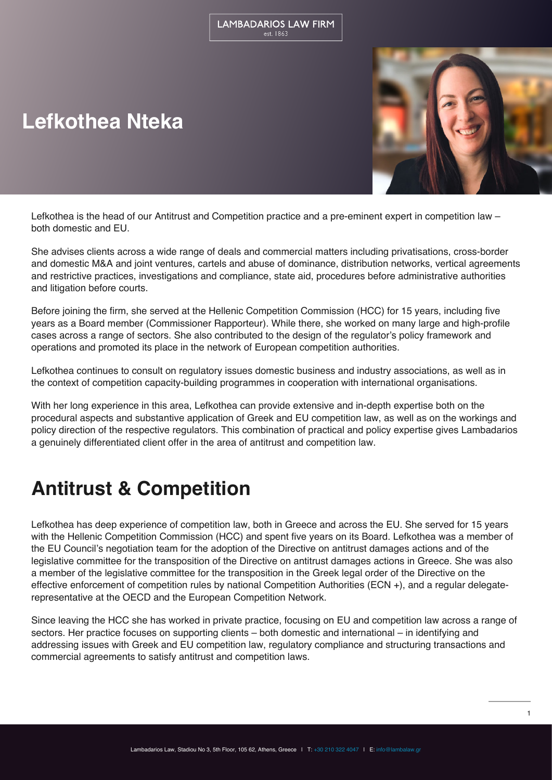# **Lefkothea Nteka**



Lefkothea is the head of our Antitrust and Competition practice and a pre-eminent expert in competition law – both domestic and EU.

She advises clients across a wide range of deals and commercial matters including privatisations, cross-border and domestic M&A and joint ventures, cartels and abuse of dominance, distribution networks, vertical agreements and restrictive practices, investigations and compliance, state aid, procedures before administrative authorities and litigation before courts.

Before joining the firm, she served at the Hellenic Competition Commission (HCC) for 15 years, including five years as a Board member (Commissioner Rapporteur). While there, she worked on many large and high-profile cases across a range of sectors. She also contributed to the design of the regulator's policy framework and operations and promoted its place in the network of European competition authorities.

Lefkothea continues to consult on regulatory issues domestic business and industry associations, as well as in the context of competition capacity-building programmes in cooperation with international organisations.

With her long experience in this area, Lefkothea can provide extensive and in-depth expertise both on the procedural aspects and substantive application of Greek and EU competition law, as well as on the workings and policy direction of the respective regulators. This combination of practical and policy expertise gives Lambadarios a genuinely differentiated client offer in the area of antitrust and competition law.

## **Antitrust & Competition**

Lefkothea has deep experience of competition law, both in Greece and across the EU. She served for 15 years with the Hellenic Competition Commission (HCC) and spent five years on its Board. Lefkothea was a member of the EU Council's negotiation team for the adoption of the Directive on antitrust damages actions and of the legislative committee for the transposition of the Directive on antitrust damages actions in Greece. She was also a member of the legislative committee for the transposition in the Greek legal order of the Directive on the effective enforcement of competition rules by national Competition Authorities (ECN +), and a regular delegaterepresentative at the OECD and the European Competition Network.

Since leaving the HCC she has worked in private practice, focusing on EU and competition law across a range of sectors. Her practice focuses on supporting clients – both domestic and international – in identifying and addressing issues with Greek and EU competition law, regulatory compliance and structuring transactions and commercial agreements to satisfy antitrust and competition laws.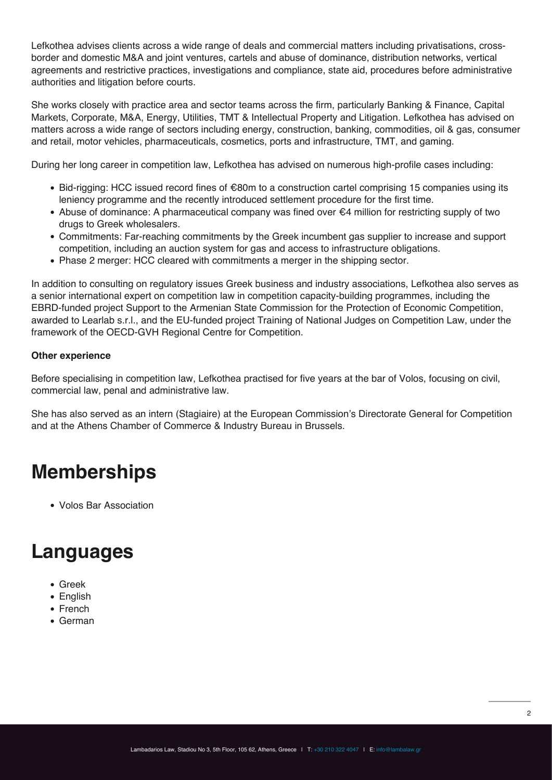Lefkothea advises clients across a wide range of deals and commercial matters including privatisations, crossborder and domestic M&A and joint ventures, cartels and abuse of dominance, distribution networks, vertical agreements and restrictive practices, investigations and compliance, state aid, procedures before administrative authorities and litigation before courts.

She works closely with practice area and sector teams across the firm, particularly Banking & Finance, Capital Markets, Corporate, M&A, Energy, Utilities, TMT & Intellectual Property and Litigation. Lefkothea has advised on matters across a wide range of sectors including energy, construction, banking, commodities, oil & gas, consumer and retail, motor vehicles, pharmaceuticals, cosmetics, ports and infrastructure, TMT, and gaming.

During her long career in competition law, Lefkothea has advised on numerous high-profile cases including:

- Bid-rigging: HCC issued record fines of €80m to a construction cartel comprising 15 companies using its leniency programme and the recently introduced settlement procedure for the first time.
- Abuse of dominance: A pharmaceutical company was fined over €4 million for restricting supply of two drugs to Greek wholesalers.
- Commitments: Far-reaching commitments by the Greek incumbent gas supplier to increase and support competition, including an auction system for gas and access to infrastructure obligations.
- Phase 2 merger: HCC cleared with commitments a merger in the shipping sector.

In addition to consulting on regulatory issues Greek business and industry associations, Lefkothea also serves as a senior international expert on competition law in competition capacity-building programmes, including the EBRD-funded project Support to the Armenian State Commission for the Protection of Economic Competition, awarded to Learlab s.r.l., and the EU-funded project Training of National Judges on Competition Law, under the framework of the OECD-GVH Regional Centre for Competition.

#### **Other experience**

Before specialising in competition law, Lefkothea practised for five years at the bar of Volos, focusing on civil, commercial law, penal and administrative law.

She has also served as an intern (Stagiaire) at the European Commission's Directorate General for Competition and at the Athens Chamber of Commerce & Industry Bureau in Brussels.

## **Memberships**

Volos Bar Association

### **Languages**

- Greek
- English
- French
- German